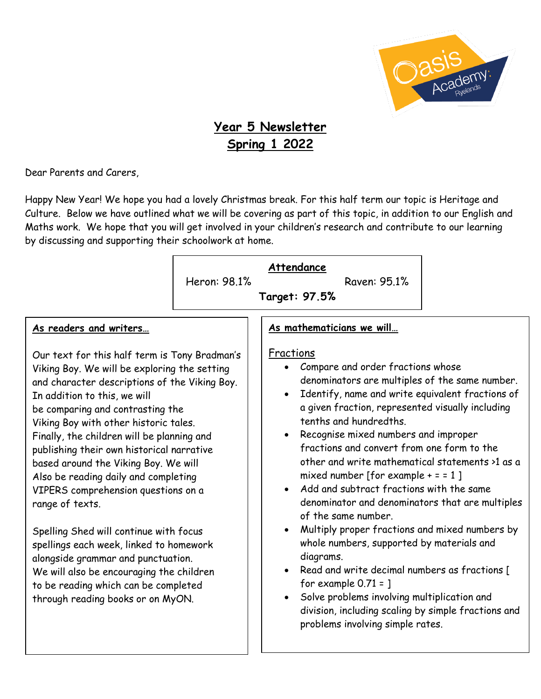

# **Year 5 Newsletter Spring 1 2022**

Dear Parents and Carers,

Happy New Year! We hope you had a lovely Christmas break. For this half term our topic is Heritage and Culture. Below we have outlined what we will be covering as part of this topic, in addition to our English and Maths work. We hope that you will get involved in your children's research and contribute to our learning by discussing and supporting their schoolwork at home.

|                                                                                                                                                                                                                                                                                                                                                                                                                                                                                                                                                                                                                                                                                                                                                                                | Heron: 98.1% | Attendance<br>Raven: 95.1%<br>Target: 97.5%                                                                                                                                                                                                                                                                                                                                                                                                                                                                                                                                                                                                                                                                                                                                                                                                                                                                                                                             |
|--------------------------------------------------------------------------------------------------------------------------------------------------------------------------------------------------------------------------------------------------------------------------------------------------------------------------------------------------------------------------------------------------------------------------------------------------------------------------------------------------------------------------------------------------------------------------------------------------------------------------------------------------------------------------------------------------------------------------------------------------------------------------------|--------------|-------------------------------------------------------------------------------------------------------------------------------------------------------------------------------------------------------------------------------------------------------------------------------------------------------------------------------------------------------------------------------------------------------------------------------------------------------------------------------------------------------------------------------------------------------------------------------------------------------------------------------------------------------------------------------------------------------------------------------------------------------------------------------------------------------------------------------------------------------------------------------------------------------------------------------------------------------------------------|
| As readers and writers<br>Our text for this half term is Tony Bradman's<br>Viking Boy. We will be exploring the setting<br>and character descriptions of the Viking Boy.<br>In addition to this, we will<br>be comparing and contrasting the<br>Viking Boy with other historic tales.<br>Finally, the children will be planning and<br>publishing their own historical narrative<br>based around the Viking Boy. We will<br>Also be reading daily and completing<br>VIPERS comprehension questions on a<br>range of texts.<br>Spelling Shed will continue with focus<br>spellings each week, linked to homework<br>alongside grammar and punctuation.<br>We will also be encouraging the children<br>to be reading which can be completed<br>through reading books or on MyON. |              | As mathematicians we will<br>Fractions<br>Compare and order fractions whose<br>denominators are multiples of the same number.<br>Identify, name and write equivalent fractions of<br>$\bullet$<br>a given fraction, represented visually including<br>tenths and hundredths.<br>Recognise mixed numbers and improper<br>fractions and convert from one form to the<br>other and write mathematical statements >1 as a<br>mixed number [for example $+ = 1$ ]<br>Add and subtract fractions with the same<br>$\bullet$<br>denominator and denominators that are multiples<br>of the same number.<br>Multiply proper fractions and mixed numbers by<br>$\bullet$<br>whole numbers, supported by materials and<br>diagrams.<br>Read and write decimal numbers as fractions [<br>$\bullet$<br>for example $0.71 =$ ]<br>Solve problems involving multiplication and<br>$\bullet$<br>division, including scaling by simple fractions and<br>problems involving simple rates. |